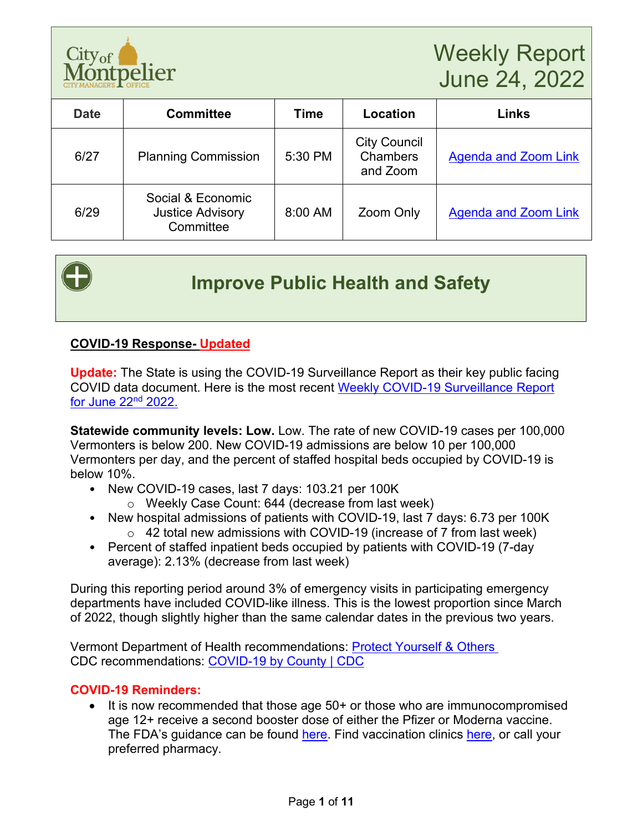

| <b>Date</b> | <b>Committee</b>                                          | Time    | Location                                    | <b>Links</b>                |
|-------------|-----------------------------------------------------------|---------|---------------------------------------------|-----------------------------|
| 6/27        | <b>Planning Commission</b>                                | 5:30 PM | <b>City Council</b><br>Chambers<br>and Zoom | <b>Agenda and Zoom Link</b> |
| 6/29        | Social & Economic<br><b>Justice Advisory</b><br>Committee | 8:00 AM | Zoom Only                                   | <b>Agenda and Zoom Link</b> |



# **Improve Public Health and Safety**

#### **COVID-19 Response- Updated**

**Update:** The State is using the COVID-19 Surveillance Report as their key public facing COVID data document. Here is the most recent [Weekly COVID-19 Surveillance Report](https://www.healthvermont.gov/sites/default/files/documents/pdf/COVID-19-Surveillance-report-20220622-corrected.pdf)  [for June 22nd](https://www.healthvermont.gov/sites/default/files/documents/pdf/COVID-19-Surveillance-report-20220622-corrected.pdf) 2022.

**Statewide community levels: Low.** Low. The rate of new COVID-19 cases per 100,000 Vermonters is below 200. New COVID-19 admissions are below 10 per 100,000 Vermonters per day, and the percent of staffed hospital beds occupied by COVID-19 is below 10%.

- New COVID-19 cases, last 7 days: 103.21 per 100K
	- o Weekly Case Count: 644 (decrease from last week)
- New hospital admissions of patients with COVID-19, last 7 days: 6.73 per 100K  $\circ$  42 total new admissions with COVID-19 (increase of 7 from last week)
- Percent of staffed inpatient beds occupied by patients with COVID-19 (7-day average): 2.13% (decrease from last week)

During this reporting period around 3% of emergency visits in participating emergency departments have included COVID-like illness. This is the lowest proportion since March of 2022, though slightly higher than the same calendar dates in the previous two years.

Vermont Department of Health recommendations: [Protect Yourself & Others](https://www.healthvermont.gov/covid-19/protect-yourself-others)  CDC recommendations: [COVID-19 by County | CDC](https://www.cdc.gov/coronavirus/2019-ncov/your-health/covid-by-county.html)

#### **COVID-19 Reminders:**

• It is now recommended that those age 50+ or those who are immunocompromised age 12+ receive a second booster dose of either the Pfizer or Moderna vaccine. The FDA's guidance can be found [here.](https://www.fda.gov/news-events/press-announcements/coronavirus-covid-19-update-fda-authorizes-second-booster-dose-two-covid-19-vaccines-older-and) Find vaccination clinics [here,](https://www.healthvermont.gov/covid-19/vaccine/getting-covid-19-vaccine) or call your preferred pharmacy.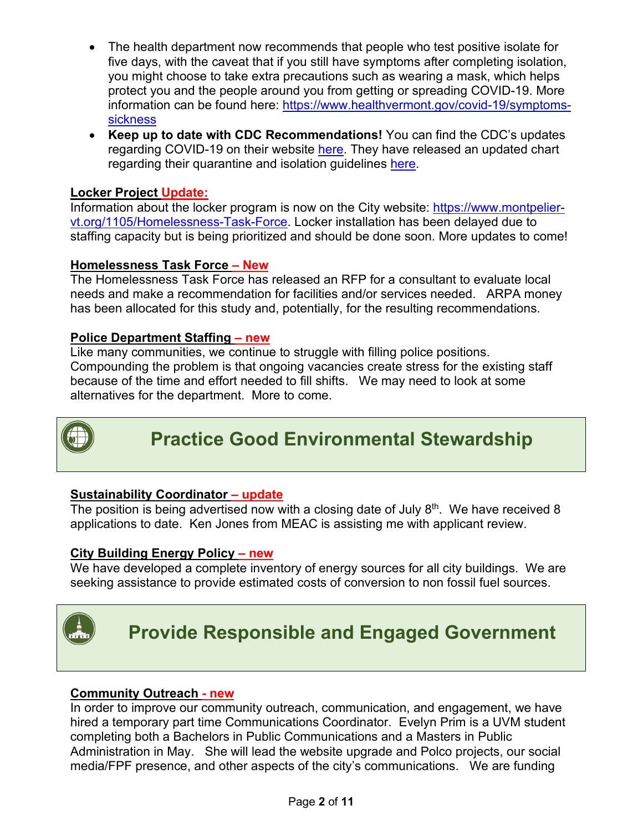- The health department now recommends that people who test positive isolate for five days, with the caveat that if you still have symptoms after completing isolation, you might choose to take extra precautions such as wearing a mask, which helps protect you and the people around you from getting or spreading COVID-19. More information can be found here: [https://www.healthvermont.gov/covid-19/symptoms](https://www.healthvermont.gov/covid-19/symptoms-sickness)[sickness](https://www.healthvermont.gov/covid-19/symptoms-sickness)
- **Keep up to date with CDC Recommendations!** You can find the CDC's updates regarding COVID-19 on their website [here.](https://www.cdc.gov/coronavirus/2019-ncov/whats-new-all.html) They have released an updated chart regarding their quarantine and isolation guidelines [here.](https://www.cdc.gov/coronavirus/2019-ncov/your-health/quarantine-isolation.html)

### **Locker Project Update:**

Information about the locker program is now on the City website: [https://www.montpelier](https://www.montpelier-vt.org/1105/Homelessness-Task-Force)[vt.org/1105/Homelessness-Task-Force.](https://www.montpelier-vt.org/1105/Homelessness-Task-Force) Locker installation has been delayed due to staffing capacity but is being prioritized and should be done soon. More updates to come!

#### **Homelessness Task Force – New**

The Homelessness Task Force has released an RFP for a consultant to evaluate local needs and make a recommendation for facilities and/or services needed. ARPA money has been allocated for this study and, potentially, for the resulting recommendations.

#### **Police Department Staffing – new**

Like many communities, we continue to struggle with filling police positions. Compounding the problem is that ongoing vacancies create stress for the existing staff because of the time and effort needed to fill shifts. We may need to look at some alternatives for the department. More to come.



# **Practice Good Environmental Stewardship**

#### **Sustainability Coordinator – update**

The position is being advertised now with a closing date of July  $8<sup>th</sup>$ . We have received 8 applications to date. Ken Jones from MEAC is assisting me with applicant review.

#### **City Building Energy Policy – new**

We have developed a complete inventory of energy sources for all city buildings. We are seeking assistance to provide estimated costs of conversion to non fossil fuel sources.



# **Provide Responsible and Engaged Government**

#### **Community Outreach - new**

In order to improve our community outreach, communication, and engagement, we have hired a temporary part time Communications Coordinator. Evelyn Prim is a UVM student completing both a Bachelors in Public Communications and a Masters in Public Administration in May. She will lead the website upgrade and Polco projects, our social media/FPF presence, and other aspects of the city's communications. We are funding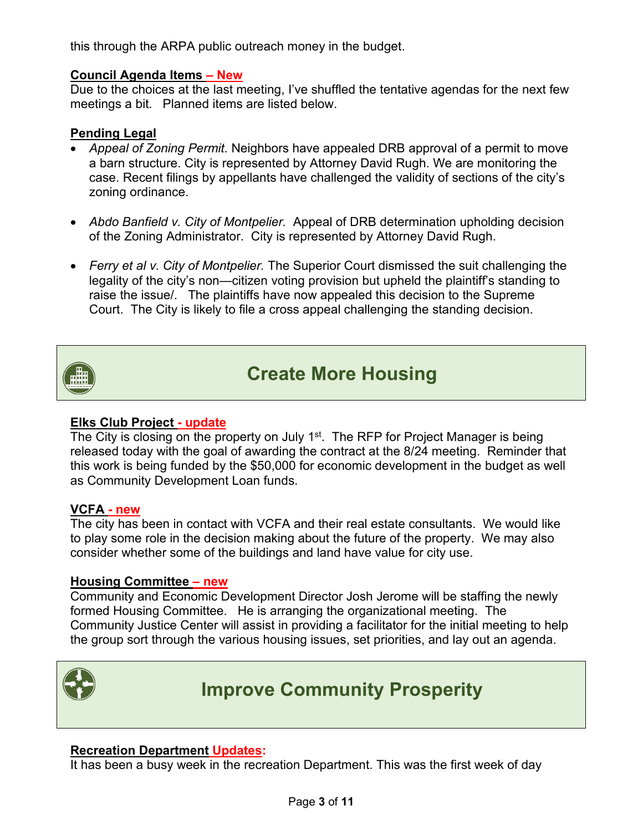this through the ARPA public outreach money in the budget.

#### **Council Agenda Items – New**

Due to the choices at the last meeting, I've shuffled the tentative agendas for the next few meetings a bit. Planned items are listed below.

### **Pending Legal**

- *Appeal of Zoning Permit.* Neighbors have appealed DRB approval of a permit to move a barn structure. City is represented by Attorney David Rugh. We are monitoring the case. Recent filings by appellants have challenged the validity of sections of the city's zoning ordinance.
- *Abdo Banfield v. City of Montpelier.* Appeal of DRB determination upholding decision of the Zoning Administrator. City is represented by Attorney David Rugh.
- *Ferry et al v. City of Montpelier.* The Superior Court dismissed the suit challenging the legality of the city's non—citizen voting provision but upheld the plaintiff's standing to raise the issue/. The plaintiffs have now appealed this decision to the Supreme Court. The City is likely to file a cross appeal challenging the standing decision.



# **Create More Housing**

#### **Elks Club Project - update**

The City is closing on the property on July 1<sup>st</sup>. The RFP for Project Manager is being released today with the goal of awarding the contract at the 8/24 meeting. Reminder that this work is being funded by the \$50,000 for economic development in the budget as well as Community Development Loan funds.

#### **VCFA - new**

The city has been in contact with VCFA and their real estate consultants. We would like to play some role in the decision making about the future of the property. We may also consider whether some of the buildings and land have value for city use.

#### **Housing Committee – new**

Community and Economic Development Director Josh Jerome will be staffing the newly formed Housing Committee. He is arranging the organizational meeting. The Community Justice Center will assist in providing a facilitator for the initial meeting to help the group sort through the various housing issues, set priorities, and lay out an agenda.



# **Improve Community Prosperity**

#### **Recreation Department Updates:**

It has been a busy week in the recreation Department. This was the first week of day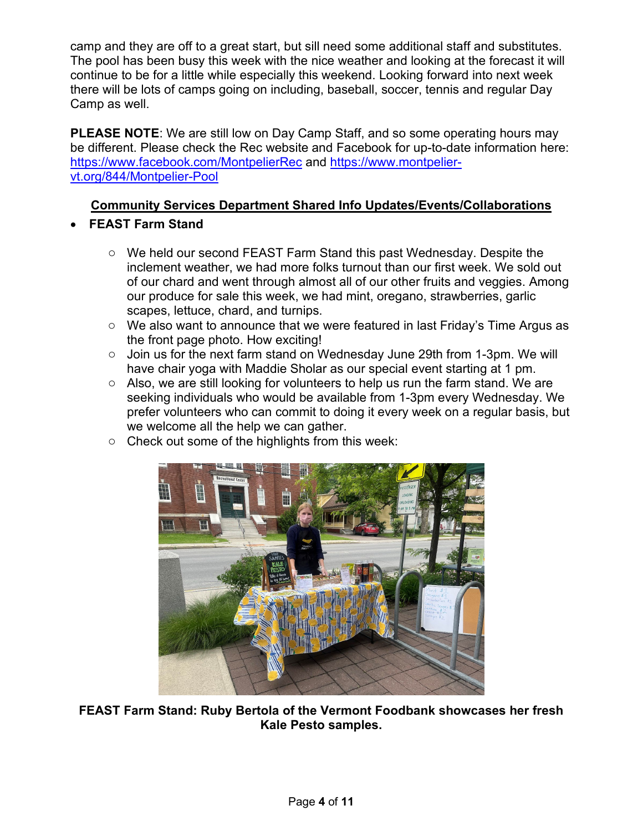camp and they are off to a great start, but sill need some additional staff and substitutes. The pool has been busy this week with the nice weather and looking at the forecast it will continue to be for a little while especially this weekend. Looking forward into next week there will be lots of camps going on including, baseball, soccer, tennis and regular Day Camp as well.

**PLEASE NOTE**: We are still low on Day Camp Staff, and so some operating hours may be different. Please check the Rec website and Facebook for up-to-date information here: <https://www.facebook.com/MontpelierRec> and [https://www.montpelier](https://www.montpelier-vt.org/844/Montpelier-Pool)[vt.org/844/Montpelier-Pool](https://www.montpelier-vt.org/844/Montpelier-Pool) 

#### **Community Services Department Shared Info Updates/Events/Collaborations**

- **FEAST Farm Stand**
	- o We held our second FEAST Farm Stand this past Wednesday. Despite the inclement weather, we had more folks turnout than our first week. We sold out of our chard and went through almost all of our other fruits and veggies. Among our produce for sale this week, we had mint, oregano, strawberries, garlic scapes, lettuce, chard, and turnips.
	- o We also want to announce that we were featured in last Friday's Time Argus as the front page photo. How exciting!
	- o Join us for the next farm stand on Wednesday June 29th from 1-3pm. We will have chair yoga with Maddie Sholar as our special event starting at 1 pm.
	- o Also, we are still looking for volunteers to help us run the farm stand. We are seeking individuals who would be available from 1-3pm every Wednesday. We prefer volunteers who can commit to doing it every week on a regular basis, but we welcome all the help we can gather.
	- o Check out some of the highlights from this week:



**FEAST Farm Stand: Ruby Bertola of the Vermont Foodbank showcases her fresh Kale Pesto samples.**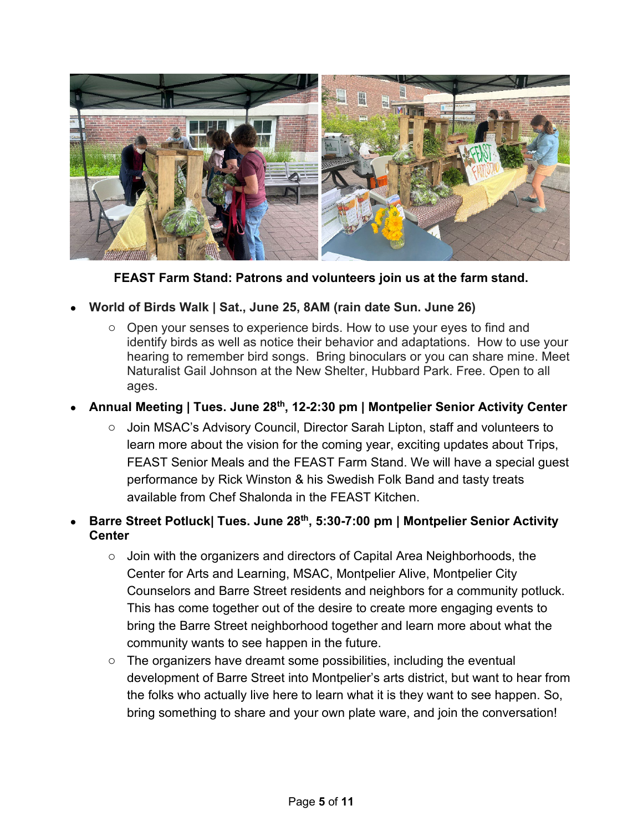

**FEAST Farm Stand: Patrons and volunteers join us at the farm stand.**

### • **World of Birds Walk | Sat., June 25, 8AM (rain date Sun. June 26)**

o Open your senses to experience birds. How to use your eyes to find and identify birds as well as notice their behavior and adaptations. How to use your hearing to remember bird songs. Bring binoculars or you can share mine. Meet Naturalist Gail Johnson at the New Shelter, Hubbard Park. Free. Open to all ages.

## • **Annual Meeting | Tues. June 28th, 12-2:30 pm | Montpelier Senior Activity Center**

o Join MSAC's Advisory Council, Director Sarah Lipton, staff and volunteers to learn more about the vision for the coming year, exciting updates about Trips, FEAST Senior Meals and the FEAST Farm Stand. We will have a special guest performance by Rick Winston & his Swedish Folk Band and tasty treats available from Chef Shalonda in the FEAST Kitchen.

#### • **Barre Street Potluck| Tues. June 28th, 5:30-7:00 pm | Montpelier Senior Activity Center**

- $\circ$  Join with the organizers and directors of Capital Area Neighborhoods, the Center for Arts and Learning, MSAC, Montpelier Alive, Montpelier City Counselors and Barre Street residents and neighbors for a community potluck. This has come together out of the desire to create more engaging events to bring the Barre Street neighborhood together and learn more about what the community wants to see happen in the future.
- $\circ$  The organizers have dreamt some possibilities, including the eventual development of Barre Street into Montpelier's arts district, but want to hear from the folks who actually live here to learn what it is they want to see happen. So, bring something to share and your own plate ware, and join the conversation!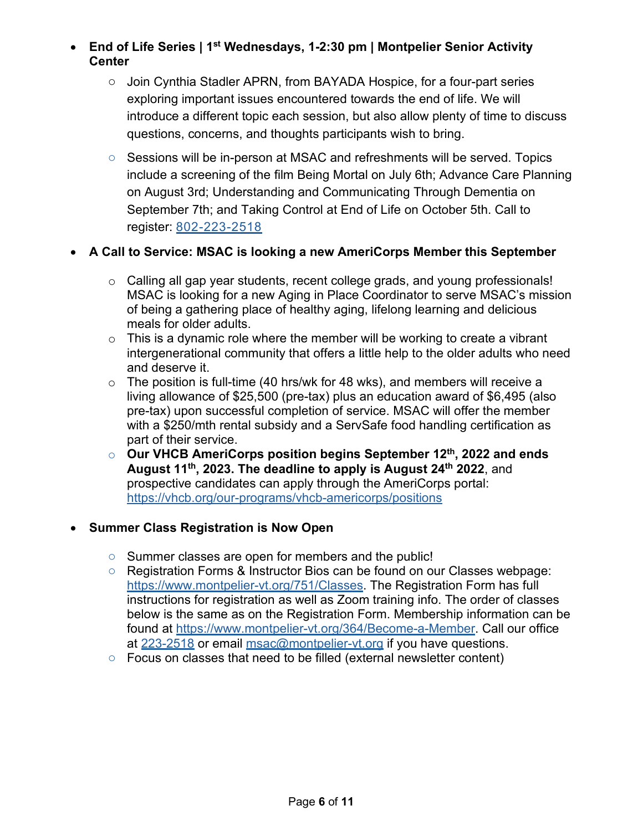• **End of Life Series | 1st Wednesdays, 1-2:30 pm | Montpelier Senior Activity Center**

- o Join Cynthia Stadler APRN, from BAYADA Hospice, for a four-part series exploring important issues encountered towards the end of life. We will introduce a different topic each session, but also allow plenty of time to discuss questions, concerns, and thoughts participants wish to bring.
- o Sessions will be in-person at MSAC and refreshments will be served. Topics include a screening of the film Being Mortal on July 6th; Advance Care Planning on August 3rd; Understanding and Communicating Through Dementia on September 7th; and Taking Control at End of Life on October 5th. Call to register: 802-223-2518

### • **A Call to Service: MSAC is looking a new AmeriCorps Member this September**

- $\circ$  Calling all gap year students, recent college grads, and young professionals! MSAC is looking for a new Aging in Place Coordinator to serve MSAC's mission of being a gathering place of healthy aging, lifelong learning and delicious meals for older adults.
- $\circ$  This is a dynamic role where the member will be working to create a vibrant intergenerational community that offers a little help to the older adults who need and deserve it.
- $\circ$  The position is full-time (40 hrs/wk for 48 wks), and members will receive a living allowance of \$25,500 (pre-tax) plus an education award of \$6,495 (also pre-tax) upon successful completion of service. MSAC will offer the member with a \$250/mth rental subsidy and a ServSafe food handling certification as part of their service.
- o **Our VHCB AmeriCorps position begins September 12th, 2022 and ends August 11th, 2023. The deadline to apply is August 24th 2022**, and prospective candidates can apply through the AmeriCorps portal: <https://vhcb.org/our-programs/vhcb-americorps/positions>

#### • **Summer Class Registration is Now Open**

- o Summer classes are open for members and the public!
- o Registration Forms & Instructor Bios can be found on our Classes webpage: [https://www.montpelier-vt.org/751/Classes.](https://www.montpelier-vt.org/751/Classes) The Registration Form has full instructions for registration as well as Zoom training info. The order of classes below is the same as on the Registration Form. Membership information can be found at [https://www.montpelier-vt.org/364/Become-a-Member.](https://www.montpelier-vt.org/364/Become-a-Member) Call our office at [223-2518](tel:802-223-2518) or email [msac@montpelier-vt.org](mailto:msac@montpelier-vt.org) if you have questions.
- o Focus on classes that need to be filled (external newsletter content)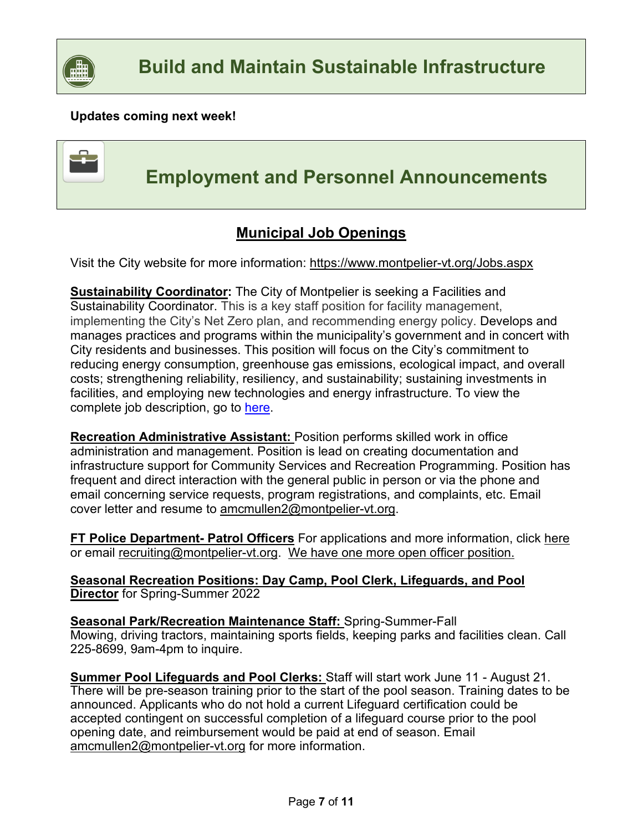

### **Updates coming next week!**



 **Employment and Personnel Announcements**

# **Municipal Job Openings**

Visit the City website for more information:<https://www.montpelier-vt.org/Jobs.aspx>

**Sustainability Coordinator:** The City of Montpelier is seeking a Facilities and Sustainability Coordinator. This is a key staff position for facility management, implementing the City's Net Zero plan, and recommending energy policy. Develops and manages practices and programs within the municipality's government and in concert with City residents and businesses. This position will focus on the City's commitment to reducing energy consumption, greenhouse gas emissions, ecological impact, and overall costs; strengthening reliability, resiliency, and sustainability; sustaining investments in facilities, and employing new technologies and energy infrastructure. To view the complete job description, go to [here.](https://www.montpelier-vt.org/Jobs.aspx)

**Recreation Administrative Assistant:** Position performs skilled work in office administration and management. Position is lead on creating documentation and infrastructure support for Community Services and Recreation Programming. Position has frequent and direct interaction with the general public in person or via the phone and email concerning service requests, program registrations, and complaints, etc. Email cover letter and resume to [amcmullen2@montpelier-vt.org.](mailto:amcmullen2@montpelier-vt.org)

**FT Police Department- Patrol Officers** For applications and more information, click [here](https://www.policeapp.com/Entry-Level-City-of-Montpelier-VT-Police-Officer-Jobs/2921/) or email [recruiting@montpelier-vt.org.](mailto:recruiting@montpelier-vt.org) We have one more open officer position.

**Seasonal Recreation Positions: Day Camp, Pool Clerk, Lifeguards, and Pool Director** for Spring-Summer 2022

**Seasonal Park/Recreation Maintenance Staff:** Spring-Summer-Fall Mowing, driving tractors, maintaining sports fields, keeping parks and facilities clean. Call 225-8699, 9am-4pm to inquire.

**Summer Pool Lifeguards and Pool Clerks:** Staff will start work June 11 - August 21. There will be pre-season training prior to the start of the pool season. Training dates to be announced. Applicants who do not hold a current Lifeguard certification could be accepted contingent on successful completion of a lifeguard course prior to the pool opening date, and reimbursement would be paid at end of season. Email [amcmullen2@montpelier-vt.org](mailto:amcmullen2@montpelier-vt.org) for more information.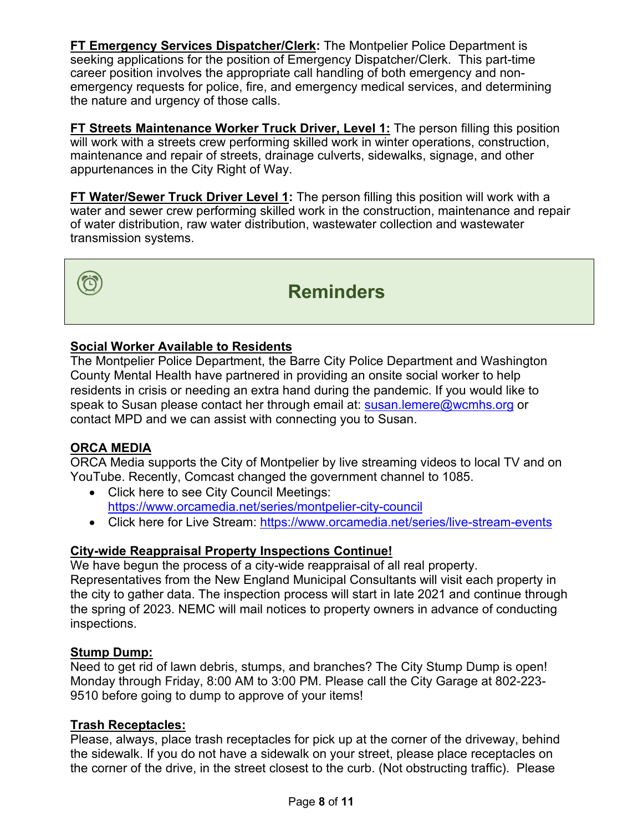**FT Emergency Services Dispatcher/Clerk:** The Montpelier Police Department is seeking applications for the position of Emergency Dispatcher/Clerk. This part-time career position involves the appropriate call handling of both emergency and nonemergency requests for police, fire, and emergency medical services, and determining the nature and urgency of those calls.

**FT Streets Maintenance Worker Truck Driver, Level 1:** The person filling this position will work with a streets crew performing skilled work in winter operations, construction, maintenance and repair of streets, drainage culverts, sidewalks, signage, and other appurtenances in the City Right of Way.

**FT Water/Sewer Truck Driver Level 1:** The person filling this position will work with a water and sewer crew performing skilled work in the construction, maintenance and repair of water distribution, raw water distribution, wastewater collection and wastewater transmission systems.



# **Reminders**

### **Social Worker Available to Residents**

The Montpelier Police Department, the Barre City Police Department and Washington County Mental Health have partnered in providing an onsite social worker to help residents in crisis or needing an extra hand during the pandemic. If you would like to speak to Susan please contact her through email at: [susan.lemere@wcmhs.org](mailto:susan.lemere@wcmhs.org) or contact MPD and we can assist with connecting you to Susan.

## **ORCA MEDIA**

ORCA Media supports the City of Montpelier by live streaming videos to local TV and on YouTube. Recently, Comcast changed the government channel to 1085.

- Click here to see City Council Meetings: <https://www.orcamedia.net/series/montpelier-city-council>
- Click here for Live Stream:<https://www.orcamedia.net/series/live-stream-events>

#### **City-wide Reappraisal Property Inspections Continue!**

We have begun the process of a city-wide reappraisal of all real property. Representatives from the New England Municipal Consultants will visit each property in the city to gather data. The inspection process will start in late 2021 and continue through the spring of 2023. NEMC will mail notices to property owners in advance of conducting inspections.

#### **Stump Dump:**

Need to get rid of lawn debris, stumps, and branches? The City Stump Dump is open! Monday through Friday, 8:00 AM to 3:00 PM. Please call the City Garage at 802-223- 9510 before going to dump to approve of your items!

#### **Trash Receptacles:**

Please, always, place trash receptacles for pick up at the corner of the driveway, behind the sidewalk. If you do not have a sidewalk on your street, please place receptacles on the corner of the drive, in the street closest to the curb. (Not obstructing traffic). Please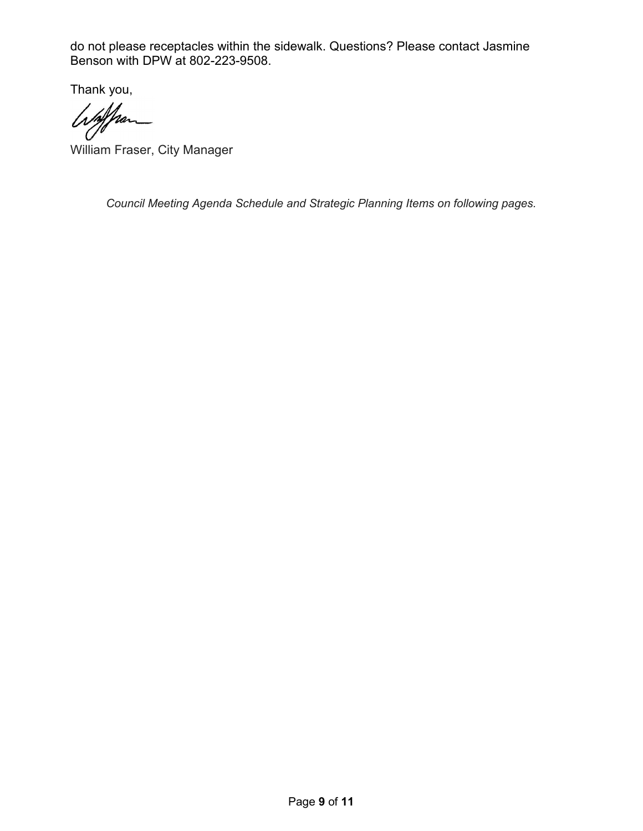do not please receptacles within the sidewalk. Questions? Please contact Jasmine Benson with DPW at 802-223-9508.

Thank you,

whathan

William Fraser, City Manager

*Council Meeting Agenda Schedule and Strategic Planning Items on following pages.*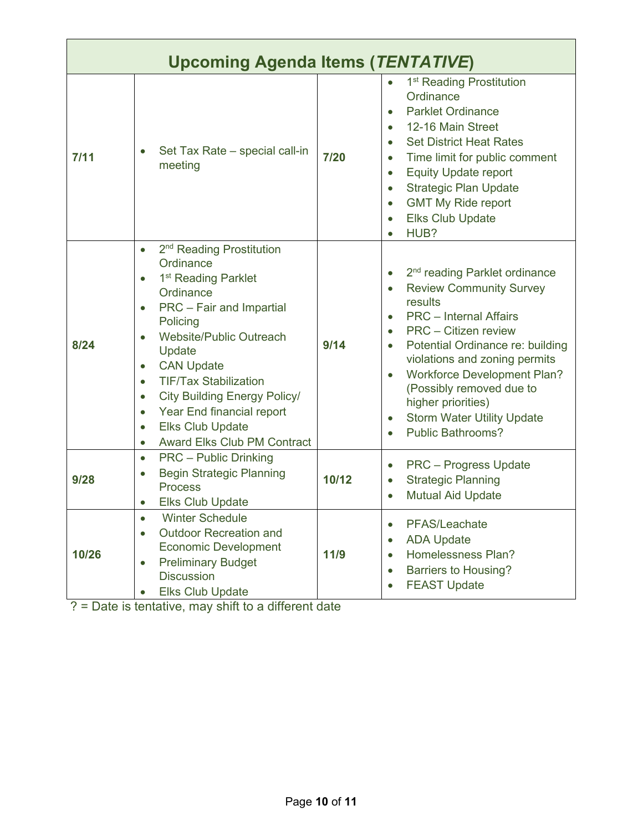| <b>Upcoming Agenda Items (TENTATIVE)</b> |                                                                                                                                                                                                                                                                                                                                                                                                                                                                                               |       |                                                                                                                                                                                                                                                                                                                                                                                                                                                                                 |  |  |
|------------------------------------------|-----------------------------------------------------------------------------------------------------------------------------------------------------------------------------------------------------------------------------------------------------------------------------------------------------------------------------------------------------------------------------------------------------------------------------------------------------------------------------------------------|-------|---------------------------------------------------------------------------------------------------------------------------------------------------------------------------------------------------------------------------------------------------------------------------------------------------------------------------------------------------------------------------------------------------------------------------------------------------------------------------------|--|--|
| 7/11                                     | Set Tax Rate - special call-in<br>$\bullet$<br>meeting                                                                                                                                                                                                                                                                                                                                                                                                                                        | 7/20  | 1 <sup>st</sup> Reading Prostitution<br>Ordinance<br><b>Parklet Ordinance</b><br>$\bullet$<br>12-16 Main Street<br>$\bullet$<br><b>Set District Heat Rates</b><br>$\bullet$<br>Time limit for public comment<br>$\bullet$<br><b>Equity Update report</b><br>$\bullet$<br><b>Strategic Plan Update</b><br>$\bullet$<br><b>GMT My Ride report</b><br>$\bullet$<br><b>Elks Club Update</b><br>$\bullet$<br>HUB?                                                                    |  |  |
| 8/24                                     | 2 <sup>nd</sup> Reading Prostitution<br>$\bullet$<br>Ordinance<br>1 <sup>st</sup> Reading Parklet<br>$\bullet$<br>Ordinance<br>PRC - Fair and Impartial<br>$\bullet$<br>Policing<br>Website/Public Outreach<br>Update<br><b>CAN Update</b><br>$\bullet$<br><b>TIF/Tax Stabilization</b><br>$\bullet$<br><b>City Building Energy Policy/</b><br>$\bullet$<br>Year End financial report<br>$\bullet$<br><b>Elks Club Update</b><br>$\bullet$<br><b>Award Elks Club PM Contract</b><br>$\bullet$ | 9/14  | 2 <sup>nd</sup> reading Parklet ordinance<br>$\bullet$<br><b>Review Community Survey</b><br>$\bullet$<br>results<br><b>PRC</b> – Internal Affairs<br>$\bullet$<br><b>PRC</b> – Citizen review<br>$\bullet$<br>Potential Ordinance re: building<br>$\bullet$<br>violations and zoning permits<br><b>Workforce Development Plan?</b><br>$\bullet$<br>(Possibly removed due to<br>higher priorities)<br><b>Storm Water Utility Update</b><br>$\bullet$<br><b>Public Bathrooms?</b> |  |  |
| 9/28                                     | <b>PRC</b> – Public Drinking<br>$\bullet$<br><b>Begin Strategic Planning</b><br>$\bullet$<br><b>Process</b><br><b>Elks Club Update</b><br>$\bullet$                                                                                                                                                                                                                                                                                                                                           | 10/12 | <b>PRC</b> – Progress Update<br>$\bullet$<br><b>Strategic Planning</b><br>$\bullet$<br><b>Mutual Aid Update</b>                                                                                                                                                                                                                                                                                                                                                                 |  |  |
| 10/26                                    | <b>Winter Schedule</b><br><b>Outdoor Recreation and</b><br>$\bullet$<br><b>Economic Development</b><br><b>Preliminary Budget</b><br>$\bullet$<br><b>Discussion</b><br><b>Elks Club Update</b><br>$\bullet$                                                                                                                                                                                                                                                                                    | 11/9  | PFAS/Leachate<br>$\bullet$<br><b>ADA Update</b><br>$\bullet$<br>Homelessness Plan?<br>$\bullet$<br><b>Barriers to Housing?</b><br>$\bullet$<br><b>FEAST Update</b><br>$\bullet$                                                                                                                                                                                                                                                                                                 |  |  |

? = Date is tentative, may shift to a different date